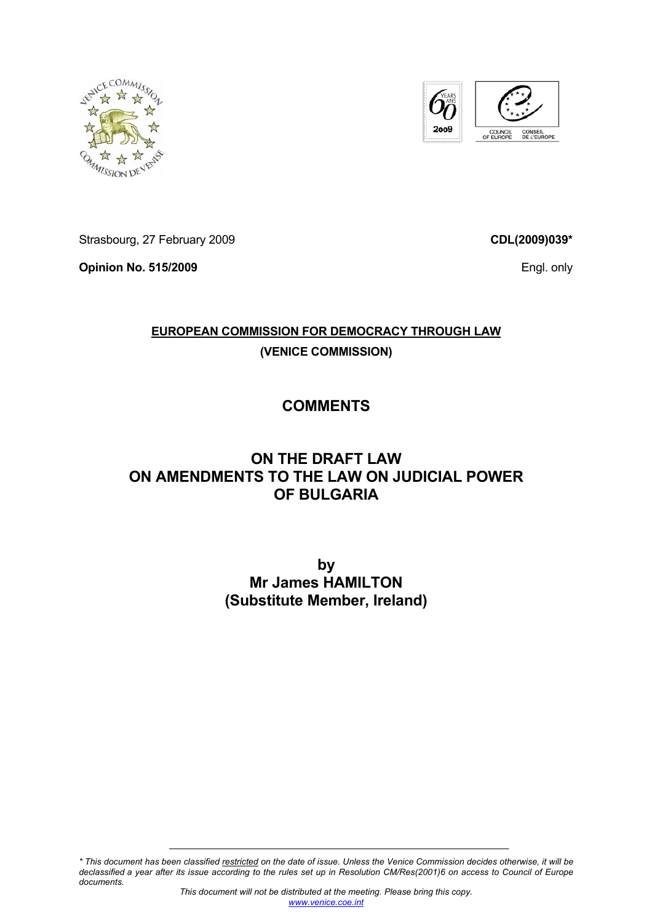



Strasbourg, 27 February 2009

**Opinion No. 515/2009** 

**CDL(2009)039\***

Engl. only

## **EUROPEAN COMMISSION FOR DEMOCRACY THROUGH LAW (VENICE COMMISSION)**

## **COMMENTS**

## **ON THE DRAFT LAW ON AMENDMENTS TO THE LAW ON JUDICIAL POWER OF BULGARIA**

**by Mr James HAMILTON (Substitute Member, Ireland)** 

*\* This document has been classified restricted on the date of issue. Unless the Venice Commission decides otherwise, it will be declassified a year after its issue according to the rules set up in Resolution CM/Res(2001)6 on access to Council of Europe documents.*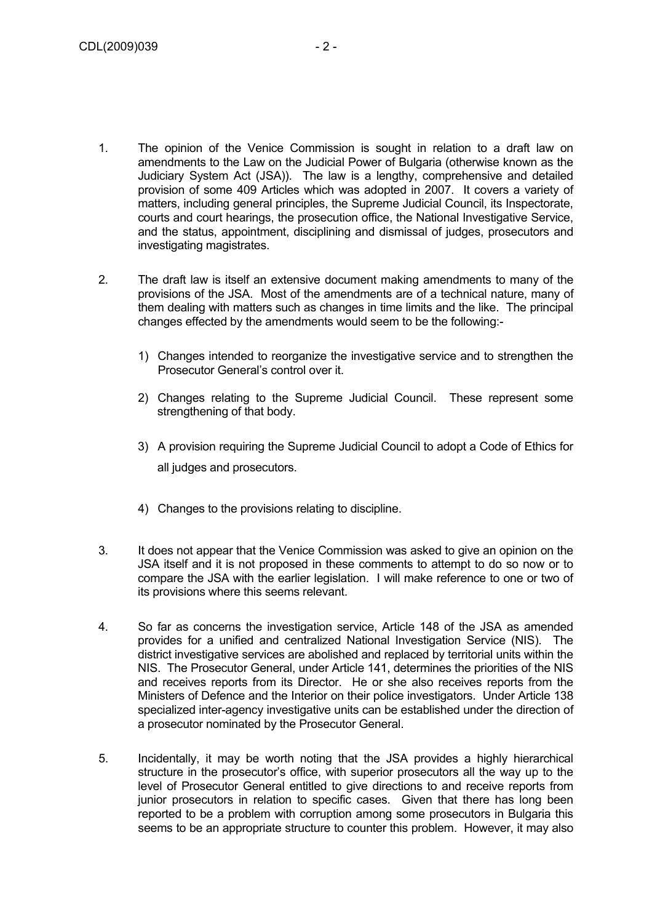- 1. The opinion of the Venice Commission is sought in relation to a draft law on amendments to the Law on the Judicial Power of Bulgaria (otherwise known as the Judiciary System Act (JSA)). The law is a lengthy, comprehensive and detailed provision of some 409 Articles which was adopted in 2007. It covers a variety of matters, including general principles, the Supreme Judicial Council, its Inspectorate, courts and court hearings, the prosecution office, the National Investigative Service, and the status, appointment, disciplining and dismissal of judges, prosecutors and investigating magistrates.
- 2. The draft law is itself an extensive document making amendments to many of the provisions of the JSA. Most of the amendments are of a technical nature, many of them dealing with matters such as changes in time limits and the like. The principal changes effected by the amendments would seem to be the following:-
	- 1) Changes intended to reorganize the investigative service and to strengthen the Prosecutor General's control over it.
	- 2) Changes relating to the Supreme Judicial Council. These represent some strengthening of that body.
	- 3) A provision requiring the Supreme Judicial Council to adopt a Code of Ethics for all judges and prosecutors.
	- 4) Changes to the provisions relating to discipline.
- 3. It does not appear that the Venice Commission was asked to give an opinion on the JSA itself and it is not proposed in these comments to attempt to do so now or to compare the JSA with the earlier legislation. I will make reference to one or two of its provisions where this seems relevant.
- 4. So far as concerns the investigation service, Article 148 of the JSA as amended provides for a unified and centralized National Investigation Service (NIS). The district investigative services are abolished and replaced by territorial units within the NIS. The Prosecutor General, under Article 141, determines the priorities of the NIS and receives reports from its Director. He or she also receives reports from the Ministers of Defence and the Interior on their police investigators. Under Article 138 specialized inter-agency investigative units can be established under the direction of a prosecutor nominated by the Prosecutor General.
- 5. Incidentally, it may be worth noting that the JSA provides a highly hierarchical structure in the prosecutor's office, with superior prosecutors all the way up to the level of Prosecutor General entitled to give directions to and receive reports from junior prosecutors in relation to specific cases. Given that there has long been reported to be a problem with corruption among some prosecutors in Bulgaria this seems to be an appropriate structure to counter this problem. However, it may also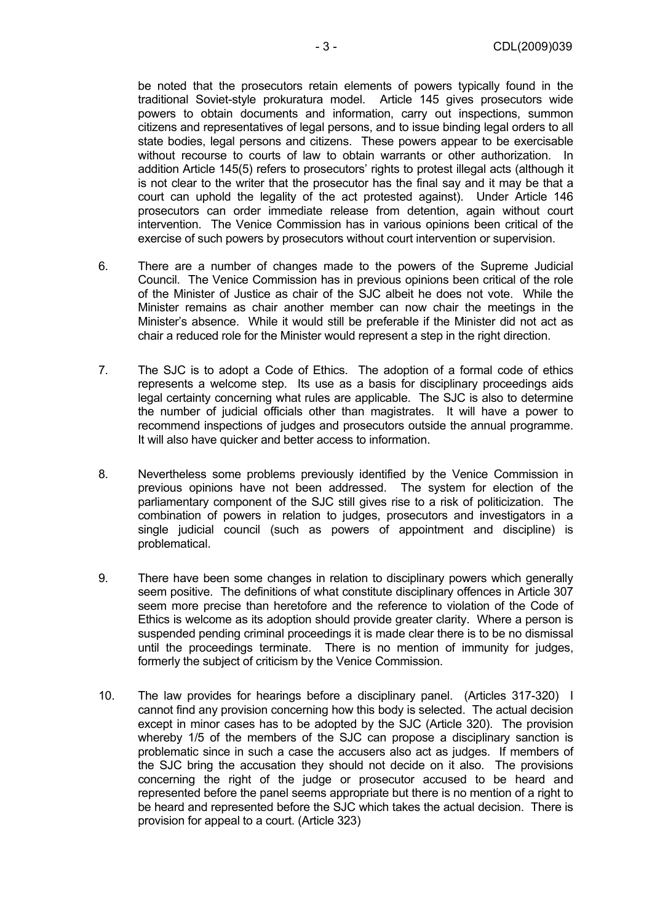be noted that the prosecutors retain elements of powers typically found in the traditional Soviet-style prokuratura model. Article 145 gives prosecutors wide powers to obtain documents and information, carry out inspections, summon citizens and representatives of legal persons, and to issue binding legal orders to all state bodies, legal persons and citizens. These powers appear to be exercisable without recourse to courts of law to obtain warrants or other authorization. In addition Article 145(5) refers to prosecutors' rights to protest illegal acts (although it is not clear to the writer that the prosecutor has the final say and it may be that a court can uphold the legality of the act protested against). Under Article 146 prosecutors can order immediate release from detention, again without court intervention. The Venice Commission has in various opinions been critical of the exercise of such powers by prosecutors without court intervention or supervision.

- 6. There are a number of changes made to the powers of the Supreme Judicial Council. The Venice Commission has in previous opinions been critical of the role of the Minister of Justice as chair of the SJC albeit he does not vote. While the Minister remains as chair another member can now chair the meetings in the Minister's absence. While it would still be preferable if the Minister did not act as chair a reduced role for the Minister would represent a step in the right direction.
- 7. The SJC is to adopt a Code of Ethics. The adoption of a formal code of ethics represents a welcome step. Its use as a basis for disciplinary proceedings aids legal certainty concerning what rules are applicable. The SJC is also to determine the number of judicial officials other than magistrates. It will have a power to recommend inspections of judges and prosecutors outside the annual programme. It will also have quicker and better access to information.
- 8. Nevertheless some problems previously identified by the Venice Commission in previous opinions have not been addressed. The system for election of the parliamentary component of the SJC still gives rise to a risk of politicization. The combination of powers in relation to judges, prosecutors and investigators in a single judicial council (such as powers of appointment and discipline) is problematical.
- 9. There have been some changes in relation to disciplinary powers which generally seem positive. The definitions of what constitute disciplinary offences in Article 307 seem more precise than heretofore and the reference to violation of the Code of Ethics is welcome as its adoption should provide greater clarity. Where a person is suspended pending criminal proceedings it is made clear there is to be no dismissal until the proceedings terminate. There is no mention of immunity for judges, formerly the subject of criticism by the Venice Commission.
- 10. The law provides for hearings before a disciplinary panel. (Articles 317-320) I cannot find any provision concerning how this body is selected. The actual decision except in minor cases has to be adopted by the SJC (Article 320). The provision whereby 1/5 of the members of the SJC can propose a disciplinary sanction is problematic since in such a case the accusers also act as judges. If members of the SJC bring the accusation they should not decide on it also. The provisions concerning the right of the judge or prosecutor accused to be heard and represented before the panel seems appropriate but there is no mention of a right to be heard and represented before the SJC which takes the actual decision. There is provision for appeal to a court. (Article 323)